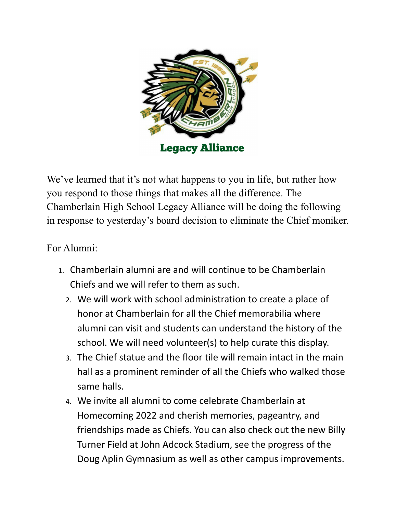

We've learned that it's not what happens to you in life, but rather how you respond to those things that makes all the difference. The Chamberlain High School Legacy Alliance will be doing the following in response to yesterday's board decision to eliminate the Chief moniker.

For Alumni:

- 1. Chamberlain alumni are and will continue to be Chamberlain Chiefs and we will refer to them as such.
	- 2. We will work with school administration to create a place of honor at Chamberlain for all the Chief memorabilia where alumni can visit and students can understand the history of the school. We will need volunteer(s) to help curate this display.
	- 3. The Chief statue and the floor tile will remain intact in the main hall as a prominent reminder of all the Chiefs who walked those same halls.
	- 4. We invite all alumni to come celebrate Chamberlain at Homecoming 2022 and cherish memories, pageantry, and friendships made as Chiefs. You can also check out the new Billy Turner Field at John Adcock Stadium, see the progress of the Doug Aplin Gymnasium as well as other campus improvements.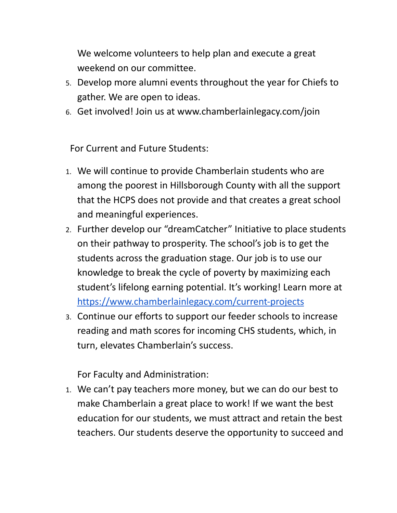We welcome volunteers to help plan and execute a great weekend on our committee.

- 5. Develop more alumni events throughout the year for Chiefs to gather. We are open to ideas.
- 6. Get involved! Join us at www.chamberlainlegacy.com/join

For Current and Future Students:

- 1. We will continue to provide Chamberlain students who are among the poorest in Hillsborough County with all the support that the HCPS does not provide and that creates a great school and meaningful experiences.
- 2. Further develop our "dreamCatcher" Initiative to place students on their pathway to prosperity. The school's job is to get the students across the graduation stage. Our job is to use our knowledge to break the cycle of poverty by maximizing each student's lifelong earning potential. It's working! Learn more at <https://www.chamberlainlegacy.com/current-projects>
- 3. Continue our efforts to support our feeder schools to increase reading and math scores for incoming CHS students, which, in turn, elevates Chamberlain's success.

For Faculty and Administration:

1. We can't pay teachers more money, but we can do our best to make Chamberlain a great place to work! If we want the best education for our students, we must attract and retain the best teachers. Our students deserve the opportunity to succeed and